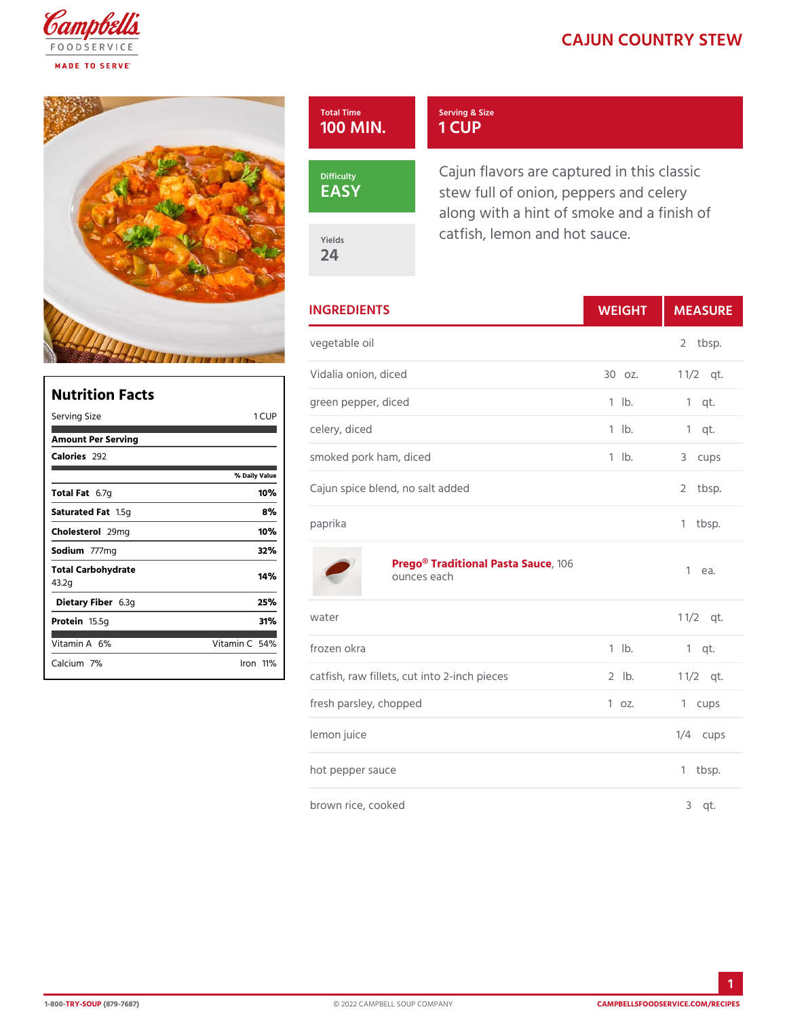## CAJUN COUNTRY

| Total Time<br>100 MIN | Serving & Size<br>1 CUP                                                                               |  |
|-----------------------|-------------------------------------------------------------------------------------------------------|--|
| Difficulty<br>EASY    | Cajun flavors are captured in th<br>stew full of onion, peppers and<br>along with a hint of smoke and |  |
| Yields<br>24          | catfish, lemon and hot sauce.                                                                         |  |

| <b>INGREDIENTS</b>               |                                                | WEIGH      | MEASU                   |
|----------------------------------|------------------------------------------------|------------|-------------------------|
| vegetable oil                    |                                                |            | $\overline{2}$<br>tbsp. |
|                                  | Vidalia onion, diced                           | 30 oz.     | $1 \t1/2qt.$            |
|                                  | green pepper, diced                            | $1$ $1b$ . | $1$ qt.                 |
| celery, diced                    |                                                | $1$ $1b$ . | $1$ qt.                 |
|                                  | smoked pork ham, diced                         | $1$ $1b$ . | 3 cups                  |
| Cajun spice blend, no salt added |                                                |            | $\overline{2}$<br>tbsp. |
| paprika                          |                                                |            | tbsp.<br>1              |
|                                  | Prego® Traditional PastGa Sauce<br>ounces each |            | $1$ ea.                 |
| water                            |                                                |            | $1 \frac{1}{2}$         |
| frozen okra                      |                                                | $1$ $1b$ . | $1$ qt.                 |
|                                  | catfish, raw fillets, cut into 2-inch p2ebbe.s |            | $1 \t1/2qt.$            |
|                                  | fresh parsley, chopped                         | $1$ oz.    | 1 cups                  |
| lemon juice                      |                                                |            | $1/4$ cups              |
|                                  | hot pepper sauce                               |            | $1$ tbsp.               |
|                                  | brown rice, cooked                             |            | $3$ qt.                 |

| Nutrition Facts             |                       |  |  |  |
|-----------------------------|-----------------------|--|--|--|
| Serving Size                | C U P<br>$\mathbf{1}$ |  |  |  |
| Amount Per Serving          |                       |  |  |  |
| Calorie2s92                 |                       |  |  |  |
|                             | % Daily Vallu         |  |  |  |
| Total F&t7g                 | 10%                   |  |  |  |
| Saturated 1F.55 tg          | 8%                    |  |  |  |
| Choleste 2.9 lm g           | 10%                   |  |  |  |
| Sodium777mg                 | 32%                   |  |  |  |
| Total Carbohydrate<br>43.2g | 14%                   |  |  |  |
| Dietary F6ib3egr            | 25%                   |  |  |  |
| Proteiff 5.5g               | 31%                   |  |  |  |
| Vitamin6A%                  | Vitamin5@%            |  |  |  |
| Calciu7m%                   | lron11<br>۴⁄۰         |  |  |  |

1